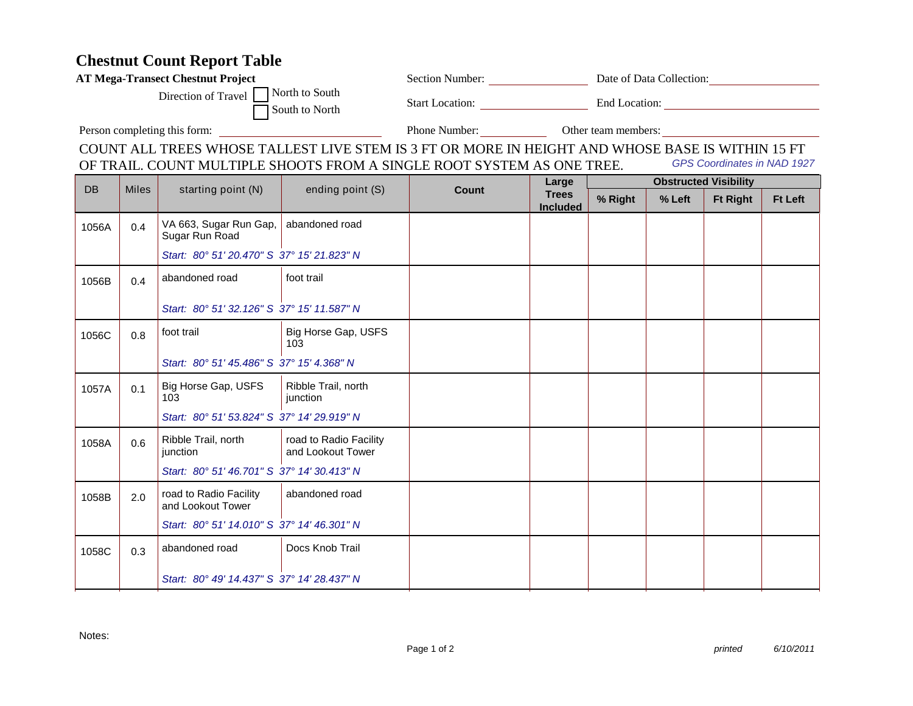## **Chestnut Count Report Table**

| <b>AT Mega-Transect Chestnut Project</b>                                                                     |              |                                             |                                                                                                  |                                   | Section Number: Date of Data Collection: |                              |        |                 |                |  |
|--------------------------------------------------------------------------------------------------------------|--------------|---------------------------------------------|--------------------------------------------------------------------------------------------------|-----------------------------------|------------------------------------------|------------------------------|--------|-----------------|----------------|--|
| North to South<br>Direction of Travel<br>South to North                                                      |              |                                             |                                                                                                  |                                   | Start Location: End Location:            |                              |        |                 |                |  |
| Person completing this form:<br><u> 1980 - Johann Barbara, martxa eta politikar</u>                          |              |                                             |                                                                                                  | Phone Number: Other team members: |                                          |                              |        |                 |                |  |
|                                                                                                              |              |                                             | COUNT ALL TREES WHOSE TALLEST LIVE STEM IS 3 FT OR MORE IN HEIGHT AND WHOSE BASE IS WITHIN 15 FT |                                   |                                          |                              |        |                 |                |  |
| <b>GPS Coordinates in NAD 1927</b><br>OF TRAIL. COUNT MULTIPLE SHOOTS FROM A SINGLE ROOT SYSTEM AS ONE TREE. |              |                                             |                                                                                                  |                                   |                                          |                              |        |                 |                |  |
| <b>DB</b>                                                                                                    | <b>Miles</b> | starting point (N)                          | ending point (S)                                                                                 | Count                             | Large<br><b>Trees</b><br><b>Included</b> | <b>Obstructed Visibility</b> |        |                 |                |  |
|                                                                                                              |              |                                             |                                                                                                  |                                   |                                          | % Right                      | % Left | <b>Ft Right</b> | <b>Ft Left</b> |  |
| 1056A                                                                                                        | 0.4          | VA 663, Sugar Run Gap,<br>Sugar Run Road    | abandoned road                                                                                   |                                   |                                          |                              |        |                 |                |  |
|                                                                                                              |              | Start: 80° 51' 20.470" S 37° 15' 21.823" N  |                                                                                                  |                                   |                                          |                              |        |                 |                |  |
| 1056B                                                                                                        | 0.4          | abandoned road                              | foot trail                                                                                       |                                   |                                          |                              |        |                 |                |  |
|                                                                                                              |              | Start: 80° 51' 32.126" S 37° 15' 11.587" N  |                                                                                                  |                                   |                                          |                              |        |                 |                |  |
| 1056C                                                                                                        | 0.8          | foot trail                                  | Big Horse Gap, USFS<br>103                                                                       |                                   |                                          |                              |        |                 |                |  |
|                                                                                                              |              | Start: 80° 51' 45.486" S 37° 15' 4.368" N   |                                                                                                  |                                   |                                          |                              |        |                 |                |  |
| 1057A                                                                                                        | 0.1          | Big Horse Gap, USFS<br>103                  | Ribble Trail, north<br>iunction                                                                  |                                   |                                          |                              |        |                 |                |  |
|                                                                                                              |              | Start: 80° 51' 53.824" S 37° 14' 29.919" N  |                                                                                                  |                                   |                                          |                              |        |                 |                |  |
| 1058A                                                                                                        | 0.6          | Ribble Trail, north<br>junction             | road to Radio Facility<br>and Lookout Tower                                                      |                                   |                                          |                              |        |                 |                |  |
|                                                                                                              |              | Start: 80° 51' 46.701" S 37° 14' 30.413" N  |                                                                                                  |                                   |                                          |                              |        |                 |                |  |
| 1058B                                                                                                        | 2.0          | road to Radio Facility<br>and Lookout Tower | abandoned road                                                                                   |                                   |                                          |                              |        |                 |                |  |
|                                                                                                              |              | Start: 80° 51' 14.010" S 37° 14' 46.301" N  |                                                                                                  |                                   |                                          |                              |        |                 |                |  |
| 1058C                                                                                                        | 0.3          | abandoned road                              | Docs Knob Trail                                                                                  |                                   |                                          |                              |        |                 |                |  |
|                                                                                                              |              | Start: 80° 49' 14.437" S 37° 14' 28.437" N  |                                                                                                  |                                   |                                          |                              |        |                 |                |  |